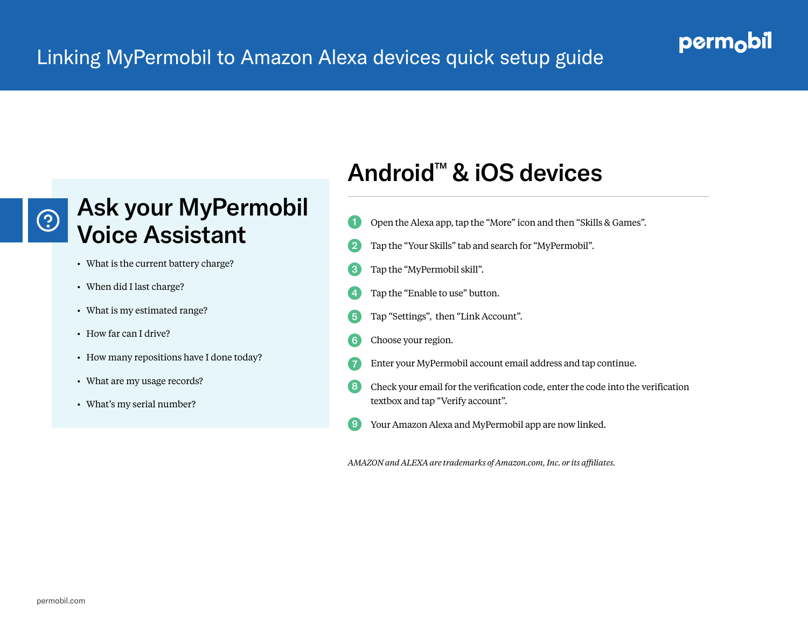#### Linking MyPermobil to Amazon Alexa devices quick setup guide

#### perm<sub>o</sub>bil

# $\odot$

### Ask your MyPermobil Voice Assistant

- What is the current battery charge?
- When did I last charge?
- What is my estimated range?
- How far can I drive?
- How many repositions have I done today?
- What are my usage records?
- What's my serial number?

## Android™ & iOS devices

- Open the Alexa app, tap the "More" icon and then "Skills & Games". 1
- Tap the "Your Skills" tab and search for "MyPermobil". 2
- Tap the "MyPermobil skill". 3
- Tap the "Enable to use" button. 4
- Tap "Settings", then "Link Account". 5
- Choose your region. 6
- Enter your MyPermobil account email address and tap continue. 7
- Check your email for the verification code, enter the code into the verification textbox and tap "Verify account". 8
- Your Amazon Alexa and MyPermobil app are now linked. 9

*AMAZON and ALEXA are trademarks of Amazon.com, Inc. or its affiliates.*